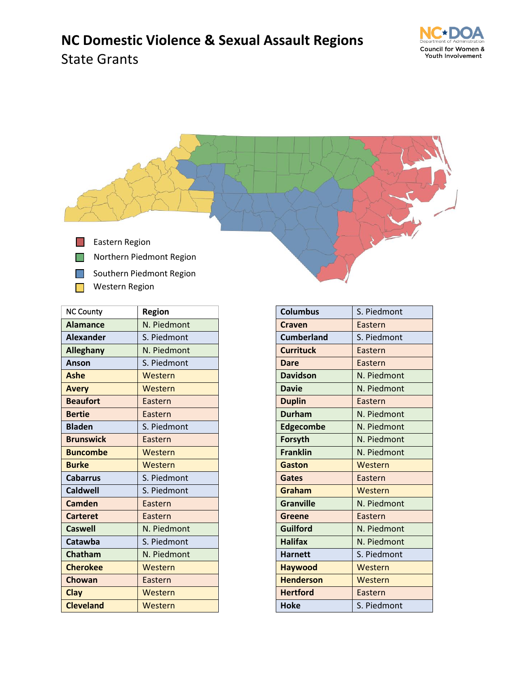

## **NC Domestic Violence & Sexual Assault Regions** State Grants



| <b>NC County</b> | Region      |
|------------------|-------------|
| <b>Alamance</b>  | N. Piedmont |
| <b>Alexander</b> | S. Piedmont |
| <b>Alleghany</b> | N. Piedmont |
| Anson            | S. Piedmont |
| <b>Ashe</b>      | Western     |
| <b>Avery</b>     | Western     |
| <b>Beaufort</b>  | Eastern     |
| <b>Bertie</b>    | Eastern     |
| <b>Bladen</b>    | S. Piedmont |
| <b>Brunswick</b> | Eastern     |
| <b>Buncombe</b>  | Western     |
| <b>Burke</b>     | Western     |
| <b>Cabarrus</b>  | S. Piedmont |
| <b>Caldwell</b>  | S. Piedmont |
| Camden           | Eastern     |
| <b>Carteret</b>  | Eastern     |
| <b>Caswell</b>   | N. Piedmont |
| Catawba          | S. Piedmont |
| Chatham          | N. Piedmont |
| <b>Cherokee</b>  | Western     |
| Chowan           | Eastern     |
| Clay             | Western     |
| <b>Cleveland</b> | Western     |

| <b>Columbus</b>   | S. Piedmont |
|-------------------|-------------|
| <b>Craven</b>     | Eastern     |
| <b>Cumberland</b> | S. Piedmont |
| <b>Currituck</b>  | Eastern     |
| Dare              | Eastern     |
| <b>Davidson</b>   | N. Piedmont |
| <b>Davie</b>      | N. Piedmont |
| <b>Duplin</b>     | Eastern     |
| <b>Durham</b>     | N. Piedmont |
| <b>Edgecombe</b>  | N. Piedmont |
| Forsyth           | N. Piedmont |
| <b>Franklin</b>   | N. Piedmont |
| Gaston            | Western     |
| <b>Gates</b>      | Eastern     |
| Graham            | Western     |
| <b>Granville</b>  | N. Piedmont |
| Greene            | Eastern     |
| <b>Guilford</b>   | N. Piedmont |
| <b>Halifax</b>    | N. Piedmont |
| <b>Harnett</b>    | S. Piedmont |
| <b>Haywood</b>    | Western     |
| <b>Henderson</b>  | Western     |
| <b>Hertford</b>   | Eastern     |
| <b>Hoke</b>       | S. Piedmont |